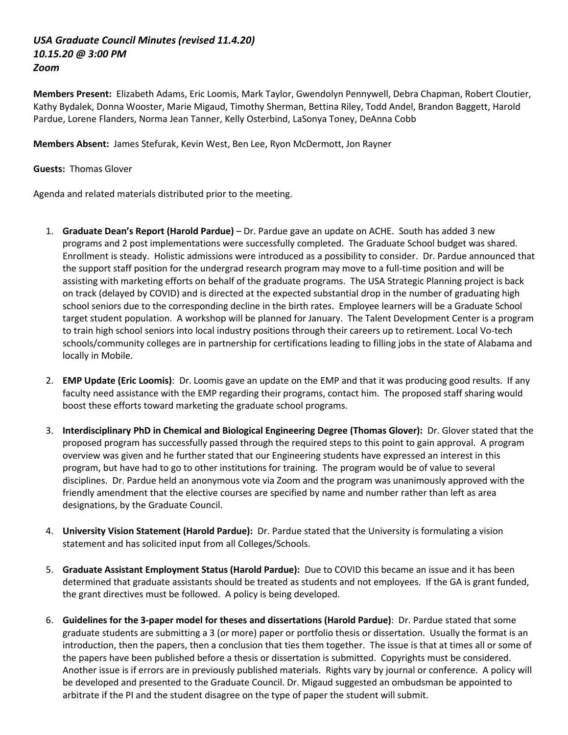## *USA Graduate Council Minutes (revised 11.4.20) 10.15.20 @ 3:00 PM Zoom*

**Members Present:** Elizabeth Adams, Eric Loomis, Mark Taylor, Gwendolyn Pennywell, Debra Chapman, Robert Cloutier, Kathy Bydalek, Donna Wooster, Marie Migaud, Timothy Sherman, Bettina Riley, Todd Andel, Brandon Baggett, Harold Pardue, Lorene Flanders, Norma Jean Tanner, Kelly Osterbind, LaSonya Toney, DeAnna Cobb

**Members Absent:** James Stefurak, Kevin West, Ben Lee, Ryon McDermott, Jon Rayner

## **Guests:** Thomas Glover

Agenda and related materials distributed prior to the meeting.

- 1. **Graduate Dean's Report (Harold Pardue)** Dr. Pardue gave an update on ACHE. South has added 3 new programs and 2 post implementations were successfully completed. The Graduate School budget was shared. Enrollment is steady. Holistic admissions were introduced as a possibility to consider. Dr. Pardue announced that the support staff position for the undergrad research program may move to a full-time position and will be assisting with marketing efforts on behalf of the graduate programs. The USA Strategic Planning project is back on track (delayed by COVID) and is directed at the expected substantial drop in the number of graduating high school seniors due to the corresponding decline in the birth rates. Employee learners will be a Graduate School target student population. A workshop will be planned for January. The Talent Development Center is a program to train high school seniors into local industry positions through their careers up to retirement. Local Vo-tech schools/community colleges are in partnership for certifications leading to filling jobs in the state of Alabama and locally in Mobile.
- 2. **EMP Update (Eric Loomis)**: Dr. Loomis gave an update on the EMP and that it was producing good results. If any faculty need assistance with the EMP regarding their programs, contact him. The proposed staff sharing would boost these efforts toward marketing the graduate school programs.
- 3. **Interdisciplinary PhD in Chemical and Biological Engineering Degree (Thomas Glover):** Dr. Glover stated that the proposed program has successfully passed through the required steps to this point to gain approval. A program overview was given and he further stated that our Engineering students have expressed an interest in this program, but have had to go to other institutions for training. The program would be of value to several disciplines. Dr. Pardue held an anonymous vote via Zoom and the program was unanimously approved with the friendly amendment that the elective courses are specified by name and number rather than left as area designations, by the Graduate Council.
- 4. **University Vision Statement (Harold Pardue):** Dr. Pardue stated that the University is formulating a vision statement and has solicited input from all Colleges/Schools.
- 5. **Graduate Assistant Employment Status (Harold Pardue):** Due to COVID this became an issue and it has been determined that graduate assistants should be treated as students and not employees. If the GA is grant funded, the grant directives must be followed. A policy is being developed.
- 6. **Guidelines for the 3-paper model for theses and dissertations (Harold Pardue)**: Dr. Pardue stated that some graduate students are submitting a 3 (or more) paper or portfolio thesis or dissertation. Usually the format is an introduction, then the papers, then a conclusion that ties them together. The issue is that at times all or some of the papers have been published before a thesis or dissertation is submitted. Copyrights must be considered. Another issue is if errors are in previously published materials. Rights vary by journal or conference. A policy will be developed and presented to the Graduate Council. Dr. Migaud suggested an ombudsman be appointed to arbitrate if the PI and the student disagree on the type of paper the student will submit.